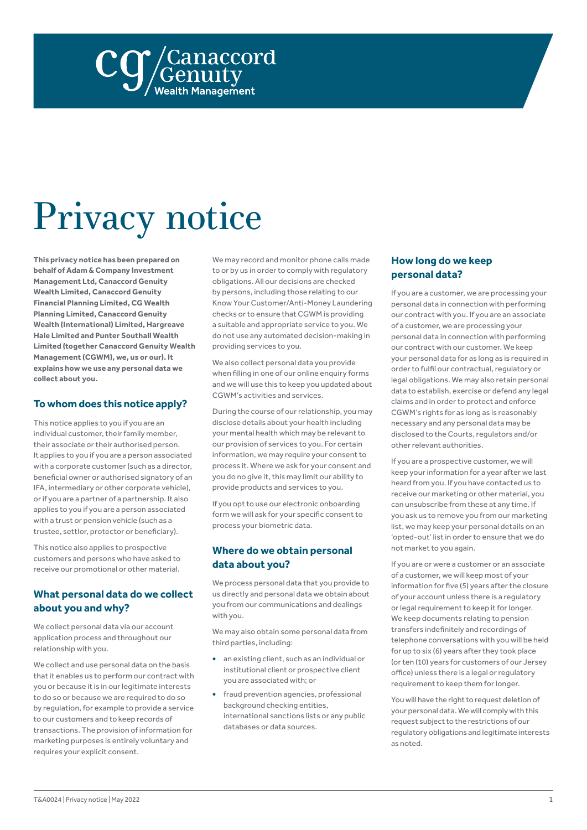

# Privacy notice

**This privacy notice has been prepared on behalf of Adam & Company Investment Management Ltd, Canaccord Genuity Wealth Limited, Canaccord Genuity Financial Planning Limited, CG Wealth Planning Limited, Canaccord Genuity Wealth (International) Limited, Hargreave Hale Limited and Punter Southall Wealth Limited (together Canaccord Genuity Wealth Management (CGWM), we, us or our). It explains how we use any personal data we collect about you.**

#### **To whom does this notice apply?**

This notice applies to you if you are an individual customer, their family member, their associate or their authorised person. It applies to you if you are a person associated with a corporate customer (such as a director, beneficial owner or authorised signatory of an IFA, intermediary or other corporate vehicle), or if you are a partner of a partnership. It also applies to you if you are a person associated with a trust or pension vehicle (such as a trustee, settlor, protector or beneficiary).

This notice also applies to prospective customers and persons who have asked to receive our promotional or other material.

# **What personal data do we collect about you and why?**

We collect personal data via our account application process and throughout our relationship with you.

We collect and use personal data on the basis that it enables us to perform our contract with you or because it is in our legitimate interests to do so or because we are required to do so by regulation, for example to provide a service to our customers and to keep records of transactions. The provision of information for marketing purposes is entirely voluntary and requires your explicit consent.

We may record and monitor phone calls made to or by us in order to comply with regulatory obligations. All our decisions are checked by persons, including those relating to our Know Your Customer/Anti-Money Laundering checks or to ensure that CGWM is providing a suitable and appropriate service to you. We do not use any automated decision-making in providing services to you.

We also collect personal data you provide when filling in one of our online enquiry forms and we will use this to keep you updated about CGWM's activities and services.

During the course of our relationship, you may disclose details about your health including your mental health which may be relevant to our provision of services to you. For certain information, we may require your consent to process it. Where we ask for your consent and you do no give it, this may limit our ability to provide products and services to you.

If you opt to use our electronic onboarding form we will ask for your specific consent to process your biometric data.

#### **Where do we obtain personal data about you?**

We process personal data that you provide to us directly and personal data we obtain about you from our communications and dealings with you.

We may also obtain some personal data from third parties, including:

- **•** an existing client, such as an individual or institutional client or prospective client you are associated with; or
- **•** fraud prevention agencies, professional background checking entities, international sanctions lists or any public databases or data sources.

#### **How long do we keep personal data?**

If you are a customer, we are processing your personal data in connection with performing our contract with you. If you are an associate of a customer, we are processing your personal data in connection with performing our contract with our customer. We keep your personal data for as long as is required in order to fulfil our contractual, regulatory or legal obligations. We may also retain personal data to establish, exercise or defend any legal claims and in order to protect and enforce CGWM's rights for as long as is reasonably necessary and any personal data may be disclosed to the Courts, regulators and/or other relevant authorities.

If you are a prospective customer, we will keep your information for a year after we last heard from you. If you have contacted us to receive our marketing or other material, you can unsubscribe from these at any time. If you ask us to remove you from our marketing list, we may keep your personal details on an 'opted-out' list in order to ensure that we do not market to you again.

If you are or were a customer or an associate of a customer, we will keep most of your information for five (5) years after the closure of your account unless there is a regulatory or legal requirement to keep it for longer. We keep documents relating to pension transfers indefinitely and recordings of telephone conversations with you will be held for up to six (6) years after they took place (or ten (10) years for customers of our Jersey office) unless there is a legal or regulatory requirement to keep them for longer.

You will have the right to request deletion of your personal data. We will comply with this request subject to the restrictions of our regulatory obligations and legitimate interests as noted.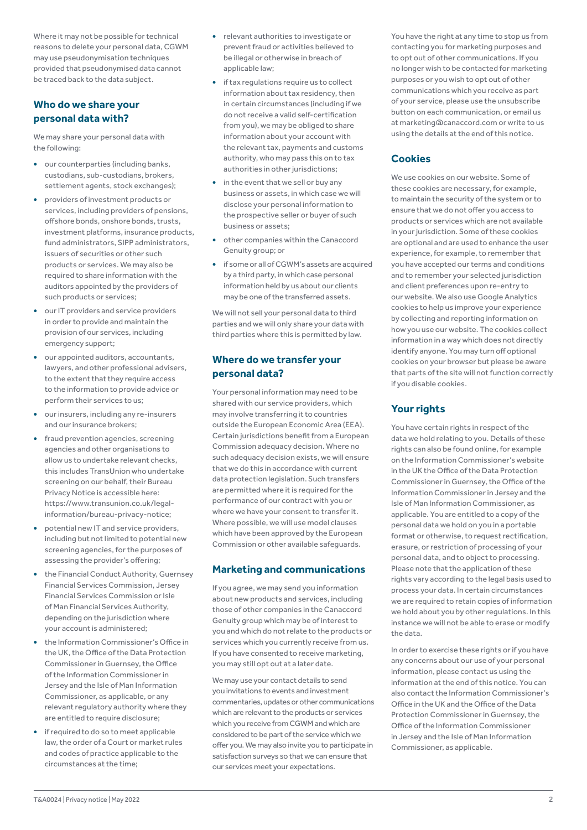Where it may not be possible for technical reasons to delete your personal data, CGWM may use pseudonymisation techniques provided that pseudonymised data cannot be traced back to the data subject.

### **Who do we share your personal data with?**

We may share your personal data with the following:

- **•** our counterparties (including banks, custodians, sub-custodians, brokers, settlement agents, stock exchanges);
- **•** providers of investment products or services, including providers of pensions, offshore bonds, onshore bonds, trusts, investment platforms, insurance products, fund administrators, SIPP administrators, issuers of securities or other such products or services. We may also be required to share information with the auditors appointed by the providers of such products or services;
- **•** our IT providers and service providers in order to provide and maintain the provision of our services, including emergency support;
- **•** our appointed auditors, accountants, lawyers, and other professional advisers, to the extent that they require access to the information to provide advice or perform their services to us;
- **•** our insurers, including any re-insurers and our insurance brokers;
- **•** fraud prevention agencies, screening agencies and other organisations to allow us to undertake relevant checks, this includes TransUnion who undertake screening on our behalf, their Bureau Privacy Notice is accessible here: [https://www.transunion.co.uk/legal](https://urldefense.com/v3/__https:/www.transunion.co.uk/legal-information/bureau-privacy-notice__;!!Ei9jbvzSmg!B_NWvS2C_OhG_6KMawof5enqijfh4vkLNhFLCiManTQ_KC9yK9PaJzXmsssqzakSxbOvMA%24)[information/bureau-privacy-notice;](https://urldefense.com/v3/__https:/www.transunion.co.uk/legal-information/bureau-privacy-notice__;!!Ei9jbvzSmg!B_NWvS2C_OhG_6KMawof5enqijfh4vkLNhFLCiManTQ_KC9yK9PaJzXmsssqzakSxbOvMA%24)
- **•** potential new IT and service providers, including but not limited to potential new screening agencies, for the purposes of assessing the provider's offering;
- **•** the Financial Conduct Authority, Guernsey Financial Services Commission, Jersey Financial Services Commission or Isle of Man Financial Services Authority, depending on the jurisdiction where your account is administered;
- **•** the Information Commissioner's Office in the UK, the Office of the Data Protection Commissioner in Guernsey, the Office of the Information Commissioner in Jersey and the Isle of Man Information Commissioner, as applicable, or any relevant regulatory authority where they are entitled to require disclosure;
- **•** if required to do so to meet applicable law, the order of a Court or market rules and codes of practice applicable to the circumstances at the time;
- **•** relevant authorities to investigate or prevent fraud or activities believed to be illegal or otherwise in breach of applicable law;
- **•** if tax regulations require us to collect information about tax residency, then in certain circumstances (including if we do not receive a valid self-certification from you), we may be obliged to share information about your account with the relevant tax, payments and customs authority, who may pass this on to tax authorities in other jurisdictions:
- **•** in the event that we sell or buy any business or assets, in which case we will disclose your personal information to the prospective seller or buyer of such business or assets;
- **•** other companies within the Canaccord Genuity group; or
- **•** if some or all of CGWM's assets are acquired by a third party, in which case personal information held by us about our clients may be one of the transferred assets.

We will not sell your personal data to third parties and we will only share your data with third parties where this is permitted by law.

# **Where do we transfer your personal data?**

Your personal information may need to be shared with our service providers, which may involve transferring it to countries outside the European Economic Area (EEA). Certain jurisdictions benefit from a European Commission adequacy decision. Where no such adequacy decision exists, we will ensure that we do this in accordance with current data protection legislation. Such transfers are permitted where it is required for the performance of our contract with you or where we have your consent to transfer it. Where possible, we will use model clauses which have been approved by the European Commission or other available safeguards.

# **Marketing and communications**

If you agree, we may send you information about new products and services, including those of other companies in the Canaccord Genuity group which may be of interest to you and which do not relate to the products or services which you currently receive from us. If you have consented to receive marketing, you may still opt out at a later date.

We may use your contact details to send you invitations to events and investment commentaries, updates or other communications which are relevant to the products or services which you receive from CGWM and which are considered to be part of the service which we offer you. We may also invite you to participate in satisfaction surveys so that we can ensure that our services meet your expectations.

You have the right at any time to stop us from contacting you for marketing purposes and to opt out of other communications. If you no longer wish to be contacted for marketing purposes or you wish to opt out of other communications which you receive as part of your service, please use the unsubscribe button on each communication, or email us at marketing@canaccord.com or write to us using the details at the end of this notice.

# **Cookies**

We use cookies on our website. Some of these cookies are necessary, for example, to maintain the security of the system or to ensure that we do not offer you access to products or services which are not available in your jurisdiction. Some of these cookies are optional and are used to enhance the user experience, for example, to remember that you have accepted our terms and conditions and to remember your selected jurisdiction and client preferences upon re-entry to our website. We also use Google Analytics cookies to help us improve your experience by collecting and reporting information on how you use our website. The cookies collect information in a way which does not directly identify anyone. You may turn off optional cookies on your browser but please be aware that parts of the site will not function correctly if you disable cookies.

# **Your rights**

You have certain rights in respect of the data we hold relating to you. Details of these rights can also be found online, for example on the Information Commissioner's website in the UK the Office of the Data Protection Commissioner in Guernsey, the Office of the Information Commissioner in Jersey and the Isle of Man Information Commissioner, as applicable. You are entitled to a copy of the personal data we hold on you in a portable format or otherwise, to request rectification, erasure, or restriction of processing of your personal data, and to object to processing. Please note that the application of these rights vary according to the legal basis used to process your data. In certain circumstances we are required to retain copies of information we hold about you by other regulations. In this instance we will not be able to erase or modify the data.

In order to exercise these rights or if you have any concerns about our use of your personal information, please contact us using the information at the end of this notice. You can also contact the Information Commissioner's Office in the UK and the Office of the Data Protection Commissioner in Guernsey, the Office of the Information Commissioner in Jersey and the Isle of Man Information Commissioner, as applicable.